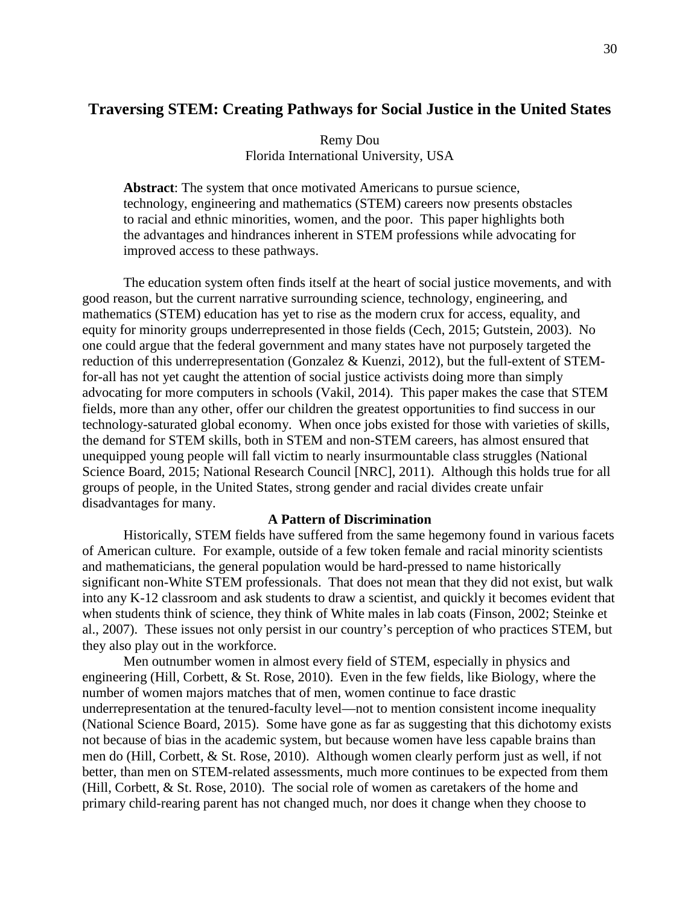# **Traversing STEM: Creating Pathways for Social Justice in the United States**

## Remy Dou Florida International University, USA

**Abstract**: The system that once motivated Americans to pursue science, technology, engineering and mathematics (STEM) careers now presents obstacles to racial and ethnic minorities, women, and the poor. This paper highlights both the advantages and hindrances inherent in STEM professions while advocating for improved access to these pathways.

The education system often finds itself at the heart of social justice movements, and with good reason, but the current narrative surrounding science, technology, engineering, and mathematics (STEM) education has yet to rise as the modern crux for access, equality, and equity for minority groups underrepresented in those fields (Cech, 2015; Gutstein, 2003). No one could argue that the federal government and many states have not purposely targeted the reduction of this underrepresentation (Gonzalez & Kuenzi, 2012), but the full-extent of STEMfor-all has not yet caught the attention of social justice activists doing more than simply advocating for more computers in schools (Vakil, 2014). This paper makes the case that STEM fields, more than any other, offer our children the greatest opportunities to find success in our technology-saturated global economy. When once jobs existed for those with varieties of skills, the demand for STEM skills, both in STEM and non-STEM careers, has almost ensured that unequipped young people will fall victim to nearly insurmountable class struggles (National Science Board, 2015; National Research Council [NRC], 2011). Although this holds true for all groups of people, in the United States, strong gender and racial divides create unfair disadvantages for many.

### **A Pattern of Discrimination**

Historically, STEM fields have suffered from the same hegemony found in various facets of American culture. For example, outside of a few token female and racial minority scientists and mathematicians, the general population would be hard-pressed to name historically significant non-White STEM professionals. That does not mean that they did not exist, but walk into any K-12 classroom and ask students to draw a scientist, and quickly it becomes evident that when students think of science, they think of White males in lab coats (Finson, 2002; Steinke et al., 2007). These issues not only persist in our country's perception of who practices STEM, but they also play out in the workforce.

Men outnumber women in almost every field of STEM, especially in physics and engineering (Hill, Corbett, & St. Rose, 2010). Even in the few fields, like Biology, where the number of women majors matches that of men, women continue to face drastic underrepresentation at the tenured-faculty level—not to mention consistent income inequality (National Science Board, 2015). Some have gone as far as suggesting that this dichotomy exists not because of bias in the academic system, but because women have less capable brains than men do (Hill, Corbett, & St. Rose, 2010). Although women clearly perform just as well, if not better, than men on STEM-related assessments, much more continues to be expected from them (Hill, Corbett, & St. Rose, 2010). The social role of women as caretakers of the home and primary child-rearing parent has not changed much, nor does it change when they choose to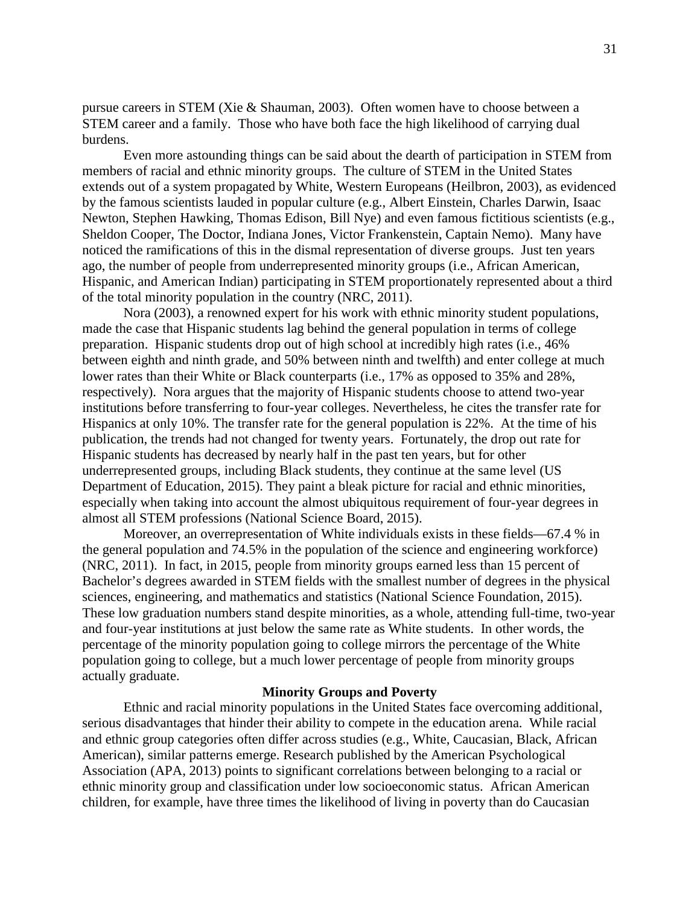pursue careers in STEM (Xie & Shauman, 2003). Often women have to choose between a STEM career and a family. Those who have both face the high likelihood of carrying dual burdens.

Even more astounding things can be said about the dearth of participation in STEM from members of racial and ethnic minority groups. The culture of STEM in the United States extends out of a system propagated by White, Western Europeans (Heilbron, 2003), as evidenced by the famous scientists lauded in popular culture (e.g., Albert Einstein, Charles Darwin, Isaac Newton, Stephen Hawking, Thomas Edison, Bill Nye) and even famous fictitious scientists (e.g., Sheldon Cooper, The Doctor, Indiana Jones, Victor Frankenstein, Captain Nemo). Many have noticed the ramifications of this in the dismal representation of diverse groups. Just ten years ago, the number of people from underrepresented minority groups (i.e., African American, Hispanic, and American Indian) participating in STEM proportionately represented about a third of the total minority population in the country (NRC, 2011).

Nora (2003), a renowned expert for his work with ethnic minority student populations, made the case that Hispanic students lag behind the general population in terms of college preparation. Hispanic students drop out of high school at incredibly high rates (i.e., 46% between eighth and ninth grade, and 50% between ninth and twelfth) and enter college at much lower rates than their White or Black counterparts (i.e., 17% as opposed to 35% and 28%, respectively). Nora argues that the majority of Hispanic students choose to attend two-year institutions before transferring to four-year colleges. Nevertheless, he cites the transfer rate for Hispanics at only 10%. The transfer rate for the general population is 22%. At the time of his publication, the trends had not changed for twenty years. Fortunately, the drop out rate for Hispanic students has decreased by nearly half in the past ten years, but for other underrepresented groups, including Black students, they continue at the same level (US Department of Education, 2015). They paint a bleak picture for racial and ethnic minorities, especially when taking into account the almost ubiquitous requirement of four-year degrees in almost all STEM professions (National Science Board, 2015).

Moreover, an overrepresentation of White individuals exists in these fields—67.4 % in the general population and 74.5% in the population of the science and engineering workforce) (NRC, 2011). In fact, in 2015, people from minority groups earned less than 15 percent of Bachelor's degrees awarded in STEM fields with the smallest number of degrees in the physical sciences, engineering, and mathematics and statistics (National Science Foundation, 2015). These low graduation numbers stand despite minorities, as a whole, attending full-time, two-year and four-year institutions at just below the same rate as White students. In other words, the percentage of the minority population going to college mirrors the percentage of the White population going to college, but a much lower percentage of people from minority groups actually graduate.

### **Minority Groups and Poverty**

Ethnic and racial minority populations in the United States face overcoming additional, serious disadvantages that hinder their ability to compete in the education arena. While racial and ethnic group categories often differ across studies (e.g., White, Caucasian, Black, African American), similar patterns emerge. Research published by the American Psychological Association (APA, 2013) points to significant correlations between belonging to a racial or ethnic minority group and classification under low socioeconomic status. African American children, for example, have three times the likelihood of living in poverty than do Caucasian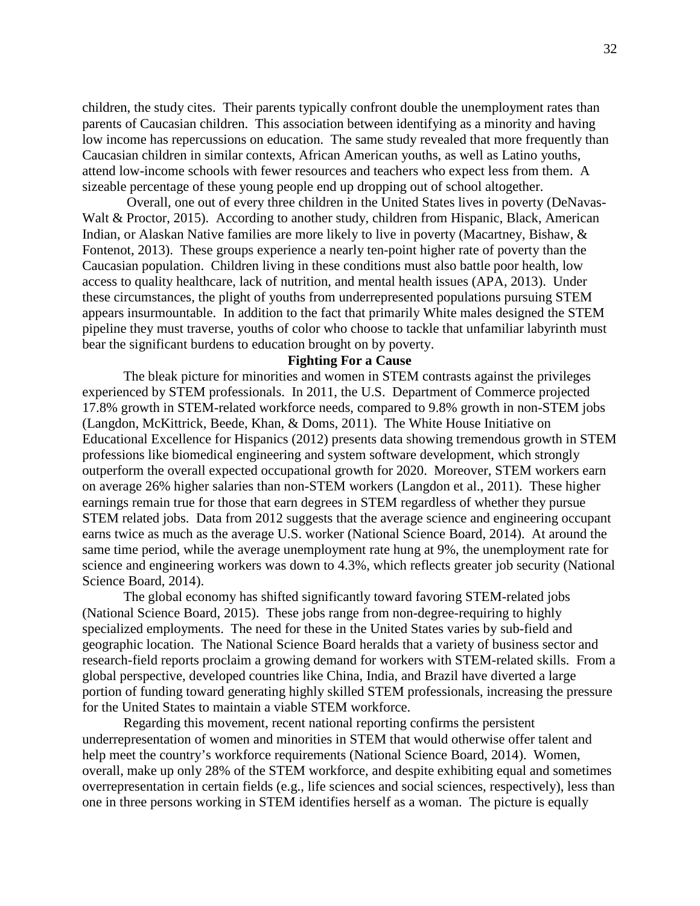children, the study cites. Their parents typically confront double the unemployment rates than parents of Caucasian children. This association between identifying as a minority and having low income has repercussions on education. The same study revealed that more frequently than Caucasian children in similar contexts, African American youths, as well as Latino youths, attend low-income schools with fewer resources and teachers who expect less from them. A sizeable percentage of these young people end up dropping out of school altogether.

Overall, one out of every three children in the United States lives in poverty (DeNavas-Walt & Proctor, 2015). According to another study, children from Hispanic, Black, American Indian, or Alaskan Native families are more likely to live in poverty (Macartney, Bishaw, & Fontenot, 2013). These groups experience a nearly ten-point higher rate of poverty than the Caucasian population. Children living in these conditions must also battle poor health, low access to quality healthcare, lack of nutrition, and mental health issues (APA, 2013). Under these circumstances, the plight of youths from underrepresented populations pursuing STEM appears insurmountable. In addition to the fact that primarily White males designed the STEM pipeline they must traverse, youths of color who choose to tackle that unfamiliar labyrinth must bear the significant burdens to education brought on by poverty.

### **Fighting For a Cause**

The bleak picture for minorities and women in STEM contrasts against the privileges experienced by STEM professionals. In 2011, the U.S. Department of Commerce projected 17.8% growth in STEM-related workforce needs, compared to 9.8% growth in non-STEM jobs (Langdon, McKittrick, Beede, Khan, & Doms, 2011). The White House Initiative on Educational Excellence for Hispanics (2012) presents data showing tremendous growth in STEM professions like biomedical engineering and system software development, which strongly outperform the overall expected occupational growth for 2020. Moreover, STEM workers earn on average 26% higher salaries than non-STEM workers (Langdon et al., 2011). These higher earnings remain true for those that earn degrees in STEM regardless of whether they pursue STEM related jobs. Data from 2012 suggests that the average science and engineering occupant earns twice as much as the average U.S. worker (National Science Board, 2014). At around the same time period, while the average unemployment rate hung at 9%, the unemployment rate for science and engineering workers was down to 4.3%, which reflects greater job security (National Science Board, 2014).

The global economy has shifted significantly toward favoring STEM-related jobs (National Science Board, 2015). These jobs range from non-degree-requiring to highly specialized employments. The need for these in the United States varies by sub-field and geographic location. The National Science Board heralds that a variety of business sector and research-field reports proclaim a growing demand for workers with STEM-related skills. From a global perspective, developed countries like China, India, and Brazil have diverted a large portion of funding toward generating highly skilled STEM professionals, increasing the pressure for the United States to maintain a viable STEM workforce.

Regarding this movement, recent national reporting confirms the persistent underrepresentation of women and minorities in STEM that would otherwise offer talent and help meet the country's workforce requirements (National Science Board, 2014). Women, overall, make up only 28% of the STEM workforce, and despite exhibiting equal and sometimes overrepresentation in certain fields (e.g., life sciences and social sciences, respectively), less than one in three persons working in STEM identifies herself as a woman. The picture is equally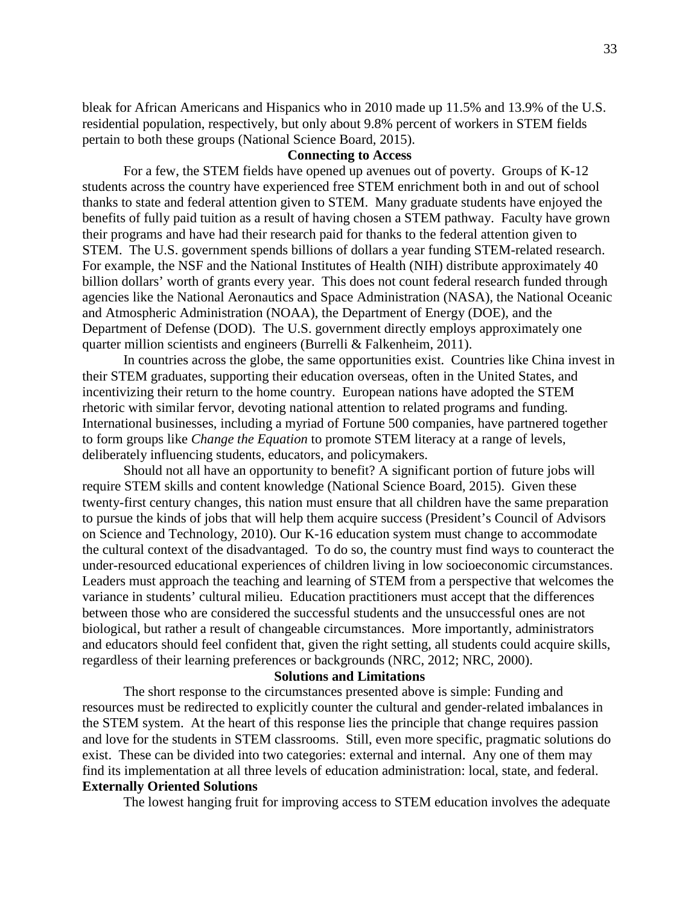bleak for African Americans and Hispanics who in 2010 made up 11.5% and 13.9% of the U.S. residential population, respectively, but only about 9.8% percent of workers in STEM fields pertain to both these groups (National Science Board, 2015).

### **Connecting to Access**

For a few, the STEM fields have opened up avenues out of poverty. Groups of K-12 students across the country have experienced free STEM enrichment both in and out of school thanks to state and federal attention given to STEM. Many graduate students have enjoyed the benefits of fully paid tuition as a result of having chosen a STEM pathway. Faculty have grown their programs and have had their research paid for thanks to the federal attention given to STEM. The U.S. government spends billions of dollars a year funding STEM-related research. For example, the NSF and the National Institutes of Health (NIH) distribute approximately 40 billion dollars' worth of grants every year. This does not count federal research funded through agencies like the National Aeronautics and Space Administration (NASA), the National Oceanic and Atmospheric Administration (NOAA), the Department of Energy (DOE), and the Department of Defense (DOD). The U.S. government directly employs approximately one quarter million scientists and engineers (Burrelli & Falkenheim, 2011).

In countries across the globe, the same opportunities exist. Countries like China invest in their STEM graduates, supporting their education overseas, often in the United States, and incentivizing their return to the home country. European nations have adopted the STEM rhetoric with similar fervor, devoting national attention to related programs and funding. International businesses, including a myriad of Fortune 500 companies, have partnered together to form groups like *Change the Equation* to promote STEM literacy at a range of levels, deliberately influencing students, educators, and policymakers.

Should not all have an opportunity to benefit? A significant portion of future jobs will require STEM skills and content knowledge (National Science Board, 2015). Given these twenty-first century changes, this nation must ensure that all children have the same preparation to pursue the kinds of jobs that will help them acquire success (President's Council of Advisors on Science and Technology, 2010). Our K-16 education system must change to accommodate the cultural context of the disadvantaged. To do so, the country must find ways to counteract the under-resourced educational experiences of children living in low socioeconomic circumstances. Leaders must approach the teaching and learning of STEM from a perspective that welcomes the variance in students' cultural milieu. Education practitioners must accept that the differences between those who are considered the successful students and the unsuccessful ones are not biological, but rather a result of changeable circumstances. More importantly, administrators and educators should feel confident that, given the right setting, all students could acquire skills, regardless of their learning preferences or backgrounds (NRC, 2012; NRC, 2000).

### **Solutions and Limitations**

The short response to the circumstances presented above is simple: Funding and resources must be redirected to explicitly counter the cultural and gender-related imbalances in the STEM system. At the heart of this response lies the principle that change requires passion and love for the students in STEM classrooms. Still, even more specific, pragmatic solutions do exist. These can be divided into two categories: external and internal. Any one of them may find its implementation at all three levels of education administration: local, state, and federal. **Externally Oriented Solutions**

The lowest hanging fruit for improving access to STEM education involves the adequate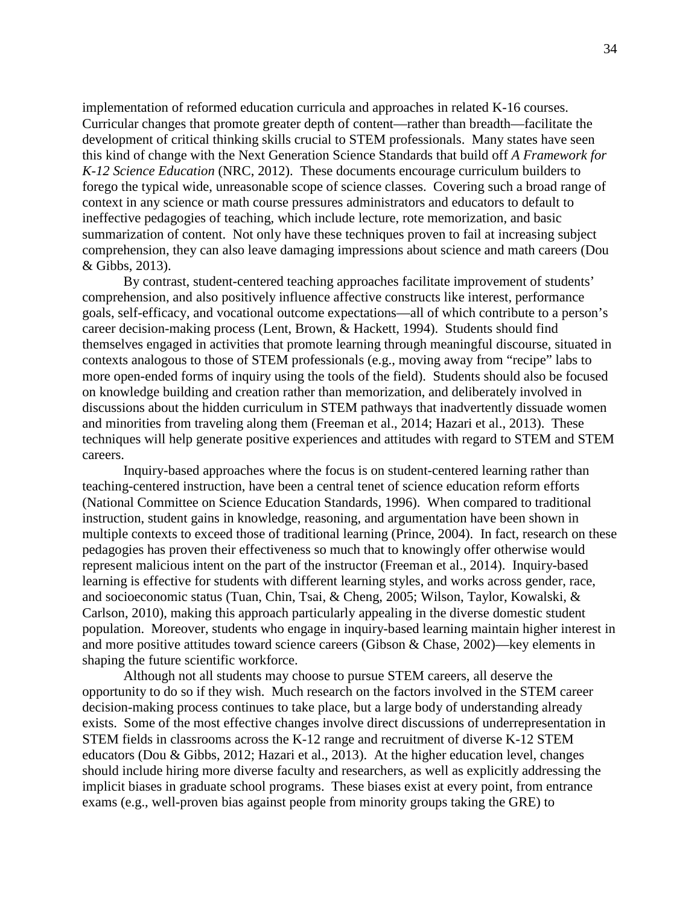implementation of reformed education curricula and approaches in related K-16 courses. Curricular changes that promote greater depth of content—rather than breadth—facilitate the development of critical thinking skills crucial to STEM professionals. Many states have seen this kind of change with the Next Generation Science Standards that build off *A Framework for K-12 Science Education* (NRC, 2012). These documents encourage curriculum builders to forego the typical wide, unreasonable scope of science classes. Covering such a broad range of context in any science or math course pressures administrators and educators to default to ineffective pedagogies of teaching, which include lecture, rote memorization, and basic summarization of content. Not only have these techniques proven to fail at increasing subject comprehension, they can also leave damaging impressions about science and math careers (Dou & Gibbs, 2013).

By contrast, student-centered teaching approaches facilitate improvement of students' comprehension, and also positively influence affective constructs like interest, performance goals, self-efficacy, and vocational outcome expectations—all of which contribute to a person's career decision-making process (Lent, Brown, & Hackett, 1994). Students should find themselves engaged in activities that promote learning through meaningful discourse, situated in contexts analogous to those of STEM professionals (e.g., moving away from "recipe" labs to more open-ended forms of inquiry using the tools of the field). Students should also be focused on knowledge building and creation rather than memorization, and deliberately involved in discussions about the hidden curriculum in STEM pathways that inadvertently dissuade women and minorities from traveling along them (Freeman et al., 2014; Hazari et al., 2013). These techniques will help generate positive experiences and attitudes with regard to STEM and STEM careers.

Inquiry-based approaches where the focus is on student-centered learning rather than teaching-centered instruction, have been a central tenet of science education reform efforts (National Committee on Science Education Standards, 1996). When compared to traditional instruction, student gains in knowledge, reasoning, and argumentation have been shown in multiple contexts to exceed those of traditional learning (Prince, 2004). In fact, research on these pedagogies has proven their effectiveness so much that to knowingly offer otherwise would represent malicious intent on the part of the instructor (Freeman et al., 2014). Inquiry-based learning is effective for students with different learning styles, and works across gender, race, and socioeconomic status (Tuan, Chin, Tsai, & Cheng, 2005; Wilson, Taylor, Kowalski, & Carlson, 2010), making this approach particularly appealing in the diverse domestic student population. Moreover, students who engage in inquiry-based learning maintain higher interest in and more positive attitudes toward science careers (Gibson & Chase, 2002)—key elements in shaping the future scientific workforce.

Although not all students may choose to pursue STEM careers, all deserve the opportunity to do so if they wish. Much research on the factors involved in the STEM career decision-making process continues to take place, but a large body of understanding already exists. Some of the most effective changes involve direct discussions of underrepresentation in STEM fields in classrooms across the K-12 range and recruitment of diverse K-12 STEM educators (Dou & Gibbs, 2012; Hazari et al., 2013). At the higher education level, changes should include hiring more diverse faculty and researchers, as well as explicitly addressing the implicit biases in graduate school programs. These biases exist at every point, from entrance exams (e.g., well-proven bias against people from minority groups taking the GRE) to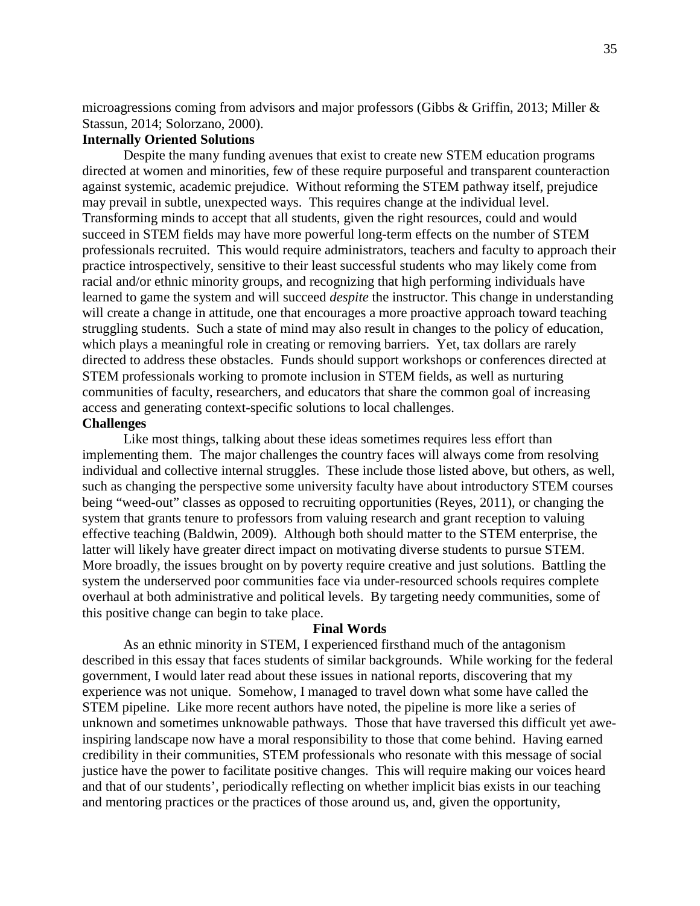microagressions coming from advisors and major professors (Gibbs & Griffin, 2013; Miller & Stassun, 2014; Solorzano, 2000).

# **Internally Oriented Solutions**

Despite the many funding avenues that exist to create new STEM education programs directed at women and minorities, few of these require purposeful and transparent counteraction against systemic, academic prejudice. Without reforming the STEM pathway itself, prejudice may prevail in subtle, unexpected ways. This requires change at the individual level. Transforming minds to accept that all students, given the right resources, could and would succeed in STEM fields may have more powerful long-term effects on the number of STEM professionals recruited. This would require administrators, teachers and faculty to approach their practice introspectively, sensitive to their least successful students who may likely come from racial and/or ethnic minority groups, and recognizing that high performing individuals have learned to game the system and will succeed *despite* the instructor. This change in understanding will create a change in attitude, one that encourages a more proactive approach toward teaching struggling students. Such a state of mind may also result in changes to the policy of education, which plays a meaningful role in creating or removing barriers. Yet, tax dollars are rarely directed to address these obstacles. Funds should support workshops or conferences directed at STEM professionals working to promote inclusion in STEM fields, as well as nurturing communities of faculty, researchers, and educators that share the common goal of increasing access and generating context-specific solutions to local challenges.

### **Challenges**

Like most things, talking about these ideas sometimes requires less effort than implementing them. The major challenges the country faces will always come from resolving individual and collective internal struggles. These include those listed above, but others, as well, such as changing the perspective some university faculty have about introductory STEM courses being "weed-out" classes as opposed to recruiting opportunities (Reyes, 2011), or changing the system that grants tenure to professors from valuing research and grant reception to valuing effective teaching (Baldwin, 2009). Although both should matter to the STEM enterprise, the latter will likely have greater direct impact on motivating diverse students to pursue STEM. More broadly, the issues brought on by poverty require creative and just solutions. Battling the system the underserved poor communities face via under-resourced schools requires complete overhaul at both administrative and political levels. By targeting needy communities, some of this positive change can begin to take place.

#### **Final Words**

As an ethnic minority in STEM, I experienced firsthand much of the antagonism described in this essay that faces students of similar backgrounds. While working for the federal government, I would later read about these issues in national reports, discovering that my experience was not unique. Somehow, I managed to travel down what some have called the STEM pipeline. Like more recent authors have noted, the pipeline is more like a series of unknown and sometimes unknowable pathways. Those that have traversed this difficult yet aweinspiring landscape now have a moral responsibility to those that come behind. Having earned credibility in their communities, STEM professionals who resonate with this message of social justice have the power to facilitate positive changes. This will require making our voices heard and that of our students', periodically reflecting on whether implicit bias exists in our teaching and mentoring practices or the practices of those around us, and, given the opportunity,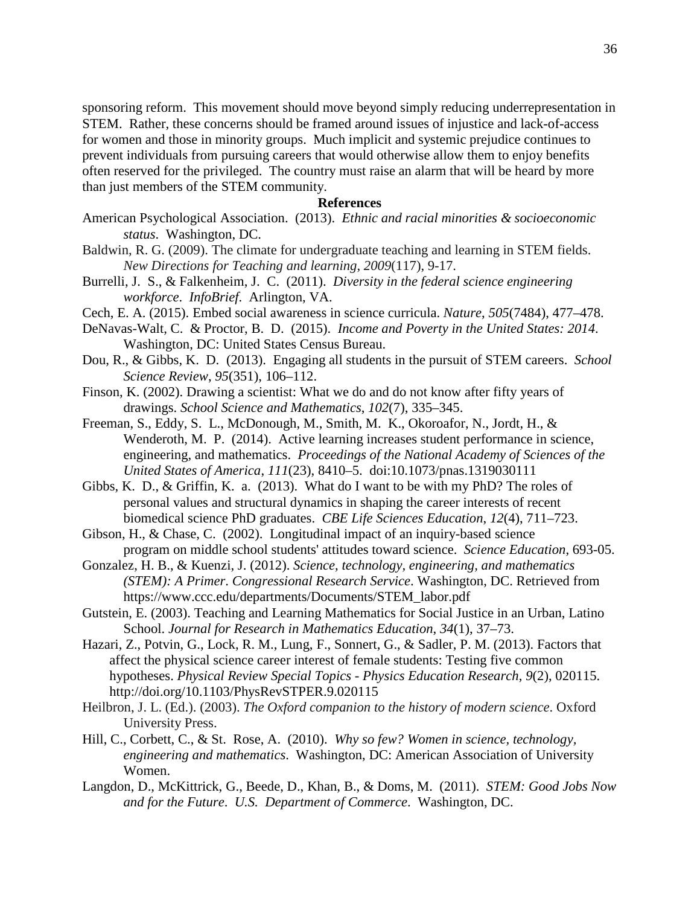sponsoring reform. This movement should move beyond simply reducing underrepresentation in STEM. Rather, these concerns should be framed around issues of injustice and lack-of-access for women and those in minority groups. Much implicit and systemic prejudice continues to prevent individuals from pursuing careers that would otherwise allow them to enjoy benefits often reserved for the privileged. The country must raise an alarm that will be heard by more than just members of the STEM community.

### **References**

- American Psychological Association. (2013). *Ethnic and racial minorities & socioeconomic status*. Washington, DC.
- Baldwin, R. G. (2009). The climate for undergraduate teaching and learning in STEM fields. *New Directions for Teaching and learning*, *2009*(117), 9-17.
- Burrelli, J. S., & Falkenheim, J. C. (2011). *Diversity in the federal science engineering workforce*. *InfoBrief*. Arlington, VA.
- Cech, E. A. (2015). Embed social awareness in science curricula. *Nature*, *505*(7484), 477–478.
- DeNavas-Walt, C. & Proctor, B. D. (2015). *Income and Poverty in the United States: 2014*. Washington, DC: United States Census Bureau.
- Dou, R., & Gibbs, K. D. (2013). Engaging all students in the pursuit of STEM careers. *School Science Review*, *95*(351), 106–112.
- Finson, K. (2002). Drawing a scientist: What we do and do not know after fifty years of drawings. *School Science and Mathematics*, *102*(7), 335–345.
- Freeman, S., Eddy, S. L., McDonough, M., Smith, M. K., Okoroafor, N., Jordt, H., & Wenderoth, M. P. (2014). Active learning increases student performance in science, engineering, and mathematics. *Proceedings of the National Academy of Sciences of the United States of America*, *111*(23), 8410–5. doi:10.1073/pnas.1319030111
- Gibbs, K. D., & Griffin, K. a. (2013). What do I want to be with my PhD? The roles of personal values and structural dynamics in shaping the career interests of recent biomedical science PhD graduates. *CBE Life Sciences Education*, *12*(4), 711–723.
- Gibson, H., & Chase, C. (2002). Longitudinal impact of an inquiry-based science program on middle school students' attitudes toward science. *Science Education*, 693-05.
- Gonzalez, H. B., & Kuenzi, J. (2012). *Science, technology, engineering, and mathematics (STEM): A Primer*. *Congressional Research Service*. Washington, DC. Retrieved from https://www.ccc.edu/departments/Documents/STEM\_labor.pdf
- Gutstein, E. (2003). Teaching and Learning Mathematics for Social Justice in an Urban, Latino School. *Journal for Research in Mathematics Education*, *34*(1), 37–73.
- Hazari, Z., Potvin, G., Lock, R. M., Lung, F., Sonnert, G., & Sadler, P. M. (2013). Factors that affect the physical science career interest of female students: Testing five common hypotheses. *Physical Review Special Topics - Physics Education Research*, *9*(2), 020115. http://doi.org/10.1103/PhysRevSTPER.9.020115
- Heilbron, J. L. (Ed.). (2003). *The Oxford companion to the history of modern science*. Oxford University Press.
- Hill, C., Corbett, C., & St. Rose, A. (2010). *Why so few? Women in science, technology, engineering and mathematics*. Washington, DC: American Association of University Women.
- Langdon, D., McKittrick, G., Beede, D., Khan, B., & Doms, M. (2011). *STEM: Good Jobs Now and for the Future*. *U.S. Department of Commerce*. Washington, DC.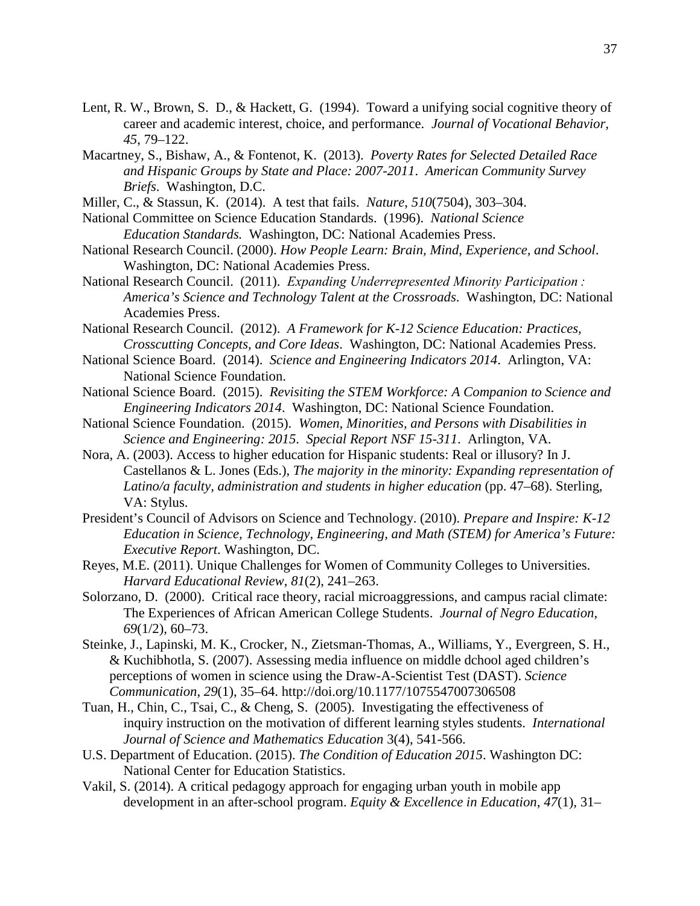- Lent, R. W., Brown, S. D., & Hackett, G. (1994). Toward a unifying social cognitive theory of career and academic interest, choice, and performance. *Journal of Vocational Behavior*, *45*, 79–122.
- Macartney, S., Bishaw, A., & Fontenot, K. (2013). *Poverty Rates for Selected Detailed Race and Hispanic Groups by State and Place: 2007-2011*. *American Community Survey Briefs*. Washington, D.C.
- Miller, C., & Stassun, K. (2014). A test that fails. *Nature*, *510*(7504), 303–304.
- National Committee on Science Education Standards. (1996). *National Science Education Standards.* Washington, DC: National Academies Press.
- National Research Council. (2000). *How People Learn: Brain, Mind, Experience, and School*. Washington, DC: National Academies Press.
- National Research Council. (2011). *Expanding Underrepresented Minority Participation : America's Science and Technology Talent at the Crossroads*. Washington, DC: National Academies Press.
- National Research Council. (2012). *A Framework for K-12 Science Education: Practices, Crosscutting Concepts, and Core Ideas*. Washington, DC: National Academies Press.
- National Science Board. (2014). *Science and Engineering Indicators 2014*. Arlington, VA: National Science Foundation.
- National Science Board. (2015). *Revisiting the STEM Workforce: A Companion to Science and Engineering Indicators 2014*. Washington, DC: National Science Foundation.
- National Science Foundation. (2015). *Women, Minorities, and Persons with Disabilities in Science and Engineering: 2015*. *Special Report NSF 15-311*. Arlington, VA.
- Nora, A. (2003). Access to higher education for Hispanic students: Real or illusory? In J. Castellanos & L. Jones (Eds.), *The majority in the minority: Expanding representation of Latino/a faculty, administration and students in higher education* (pp. 47–68). Sterling, VA: Stylus.
- President's Council of Advisors on Science and Technology. (2010). *Prepare and Inspire: K-12 Education in Science, Technology, Engineering, and Math (STEM) for America's Future: Executive Report*. Washington, DC.
- Reyes, M.E. (2011). Unique Challenges for Women of Community Colleges to Universities. *Harvard Educational Review*, *81*(2), 241–263.
- Solorzano, D. (2000). Critical race theory, racial microaggressions, and campus racial climate: The Experiences of African American College Students. *Journal of Negro Education*, *69*(1/2), 60–73.
- Steinke, J., Lapinski, M. K., Crocker, N., Zietsman-Thomas, A., Williams, Y., Evergreen, S. H., & Kuchibhotla, S. (2007). Assessing media influence on middle dchool aged children's perceptions of women in science using the Draw-A-Scientist Test (DAST). *Science Communication*, *29*(1), 35–64. http://doi.org/10.1177/1075547007306508
- Tuan, H., Chin, C., Tsai, C., & Cheng, S. (2005). Investigating the effectiveness of inquiry instruction on the motivation of different learning styles students. *International Journal of Science and Mathematics Education* 3(4), 541-566.
- U.S. Department of Education. (2015). *The Condition of Education 2015*. Washington DC: National Center for Education Statistics.
- Vakil, S. (2014). A critical pedagogy approach for engaging urban youth in mobile app development in an after-school program. *Equity & Excellence in Education*, *47*(1), 31–